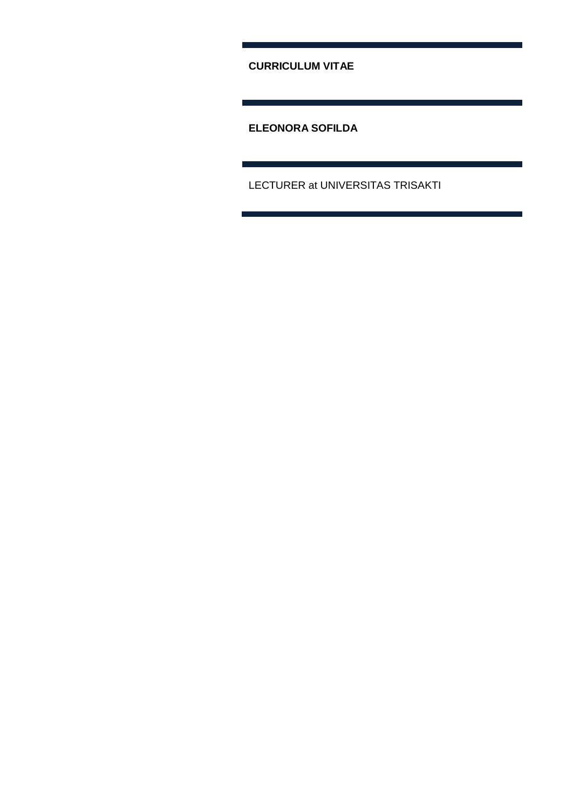**CURRICULUM VITAE**

<u> 1989 - Johann Barnett, mars eta idazlea (h. 19</u>

**ELEONORA SOFILDA**

LECTURER at UNIVERSITAS TRISAKTI

a sa kacamatan ing Kabupatèn Kabupatèn Kabupatèn Kabupatèn Kabupatèn Kabupatèn Kabupatèn Kabupatèn Kabupatèn K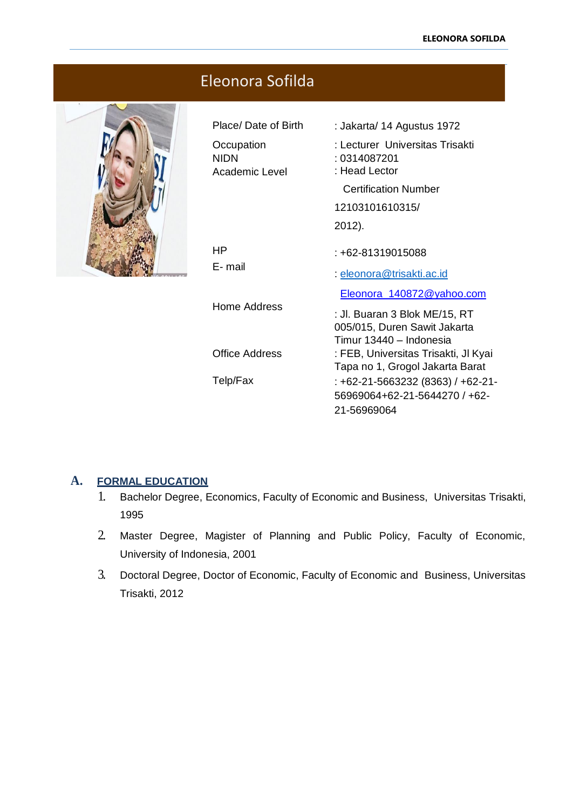| Eleonora Sofilda |                                                                    |                                                                                                                                                            |  |  |
|------------------|--------------------------------------------------------------------|------------------------------------------------------------------------------------------------------------------------------------------------------------|--|--|
|                  | Place/Date of Birth<br>Occupation<br><b>NIDN</b><br>Academic Level | : Jakarta/ 14 Agustus 1972<br>: Lecturer Universitas Trisakti<br>: 0314087201<br>: Head Lector<br><b>Certification Number</b><br>12103101610315/<br>2012). |  |  |
|                  | HP.<br>E-mail                                                      | : +62-81319015088<br>: eleonora@trisakti.ac.id                                                                                                             |  |  |
|                  | Home Address                                                       | Eleonora_140872@yahoo.com<br>: Jl. Buaran 3 Blok ME/15, RT<br>005/015, Duren Sawit Jakarta<br>Timur 13440 - Indonesia                                      |  |  |
|                  | <b>Office Address</b>                                              | : FEB, Universitas Trisakti, JI Kyai<br>Tapa no 1, Grogol Jakarta Barat                                                                                    |  |  |
|                  | Telp/Fax                                                           | $: +62-21-5663232(8363)$ / $+62-21-$<br>56969064+62-21-5644270 / +62-<br>21-56969064                                                                       |  |  |

# **A. FORMAL EDUCATION**

- 1. Bachelor Degree, Economics, Faculty of Economic and Business, Universitas Trisakti, 1995
- 2. Master Degree, Magister of Planning and Public Policy, Faculty of Economic, University of Indonesia, 2001
- 3. Doctoral Degree, Doctor of Economic, Faculty of Economic and Business, Universitas Trisakti, 2012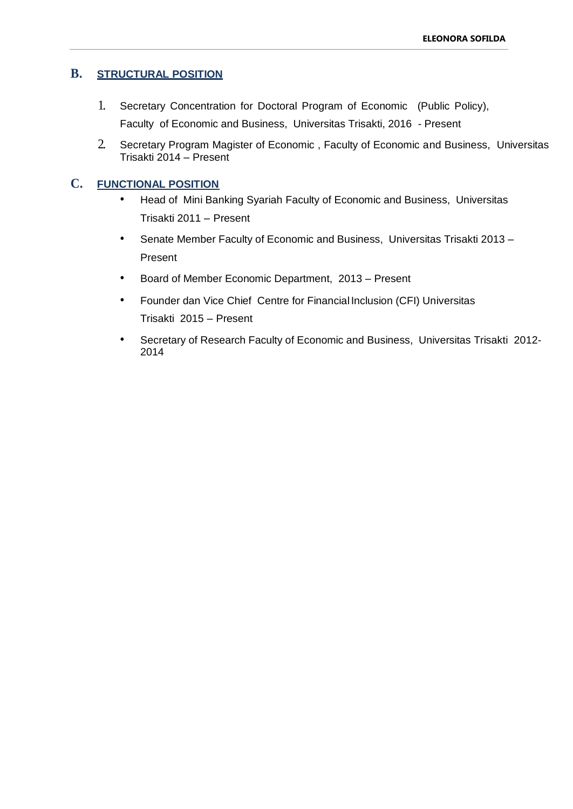# **B. STRUCTURAL POSITION**

- 1. Secretary Concentration for Doctoral Program of Economic (Public Policy), Faculty of Economic and Business, Universitas Trisakti, 2016 - Present
- 2. Secretary Program Magister of Economic , Faculty of Economic and Business, Universitas Trisakti 2014 – Present

## **C. FUNCTIONAL POSITION**

- Head of Mini Banking Syariah Faculty of Economic and Business, Universitas Trisakti 2011 – Present
- Senate Member Faculty of Economic and Business, Universitas Trisakti 2013 Present
- Board of Member Economic Department, 2013 Present
- Founder dan Vice Chief Centre for FinancialInclusion (CFI) Universitas Trisakti 2015 – Present
- Secretary of Research Faculty of Economic and Business, Universitas Trisakti 2012- 2014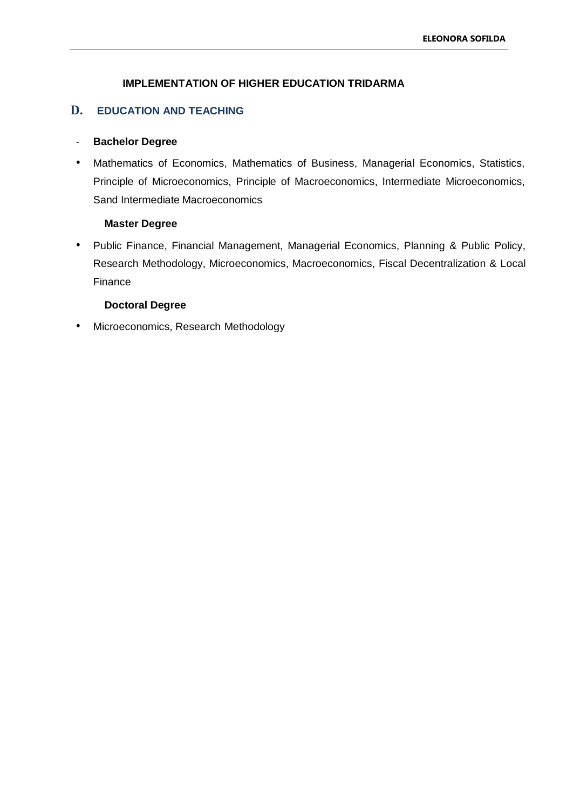### **IMPLEMENTATION OF HIGHER EDUCATION TRIDARMA**

## **D. EDUCATION AND TEACHING**

#### - **Bachelor Degree**

• Mathematics of Economics, Mathematics of Business, Managerial Economics, Statistics, Principle of Microeconomics, Principle of Macroeconomics, Intermediate Microeconomics, Sand Intermediate Macroeconomics

#### **Master Degree**

• Public Finance, Financial Management, Managerial Economics, Planning & Public Policy, Research Methodology, Microeconomics, Macroeconomics, Fiscal Decentralization & Local Finance

#### **Doctoral Degree**

• Microeconomics, Research Methodology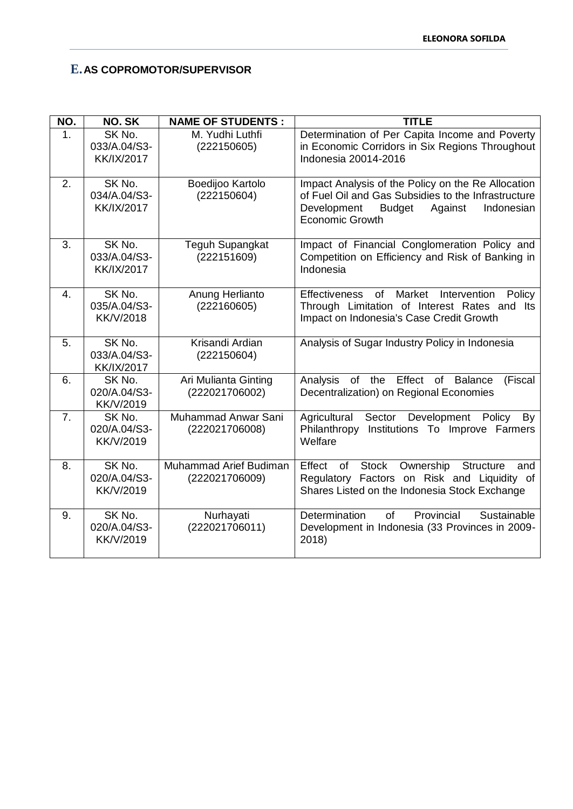# **E.AS COPROMOTOR/SUPERVISOR**

| NO. | NO. SK                                      | <b>NAME OF STUDENTS:</b>                 | <b>TITLE</b>                                                                                                                                                                          |
|-----|---------------------------------------------|------------------------------------------|---------------------------------------------------------------------------------------------------------------------------------------------------------------------------------------|
| 1.  | SK No.<br>033/A.04/S3-<br><b>KK/IX/2017</b> | M. Yudhi Luthfi<br>(222150605)           | Determination of Per Capita Income and Poverty<br>in Economic Corridors in Six Regions Throughout<br>Indonesia 20014-2016                                                             |
| 2.  | SK No.<br>034/A.04/S3-<br><b>KK/IX/2017</b> | Boedijoo Kartolo<br>(222150604)          | Impact Analysis of the Policy on the Re Allocation<br>of Fuel Oil and Gas Subsidies to the Infrastructure<br>Development<br><b>Budget</b><br>Against<br>Indonesian<br>Economic Growth |
| 3.  | SK No.<br>033/A.04/S3-<br><b>KK/IX/2017</b> | <b>Teguh Supangkat</b><br>(222151609)    | Impact of Financial Conglomeration Policy and<br>Competition on Efficiency and Risk of Banking in<br>Indonesia                                                                        |
| 4.  | SK No.<br>035/A.04/S3-<br><b>KK/V/2018</b>  | Anung Herlianto<br>(222160605)           | Market<br><b>Effectiveness</b><br>of<br>Intervention<br>Policy<br>Through Limitation of Interest Rates and Its<br>Impact on Indonesia's Case Credit Growth                            |
| 5.  | SK No.<br>033/A.04/S3-<br><b>KK/IX/2017</b> | Krisandi Ardian<br>(222150604)           | Analysis of Sugar Industry Policy in Indonesia                                                                                                                                        |
| 6.  | SK No.<br>020/A.04/S3-<br>KK/V/2019         | Ari Mulianta Ginting<br>(222021706002)   | Analysis of the Effect of Balance<br>(Fiscal<br>Decentralization) on Regional Economies                                                                                               |
| 7.  | SK No.<br>020/A.04/S3-<br>KK/V/2019         | Muhammad Anwar Sani<br>(222021706008)    | Agricultural<br>Sector Development<br>Policy<br>By<br>Philanthropy<br>Institutions To Improve Farmers<br>Welfare                                                                      |
| 8.  | SK No.<br>020/A.04/S3-<br><b>KK/V/2019</b>  | Muhammad Arief Budiman<br>(222021706009) | Ownership<br>Effect of<br>Stock<br><b>Structure</b><br>and<br>Regulatory Factors on Risk and Liquidity of<br>Shares Listed on the Indonesia Stock Exchange                            |
| 9.  | SK No.<br>020/A.04/S3-<br>KK/V/2019         | Nurhayati<br>(222021706011)              | Provincial<br><b>Determination</b><br>of<br>Sustainable<br>Development in Indonesia (33 Provinces in 2009-<br>2018)                                                                   |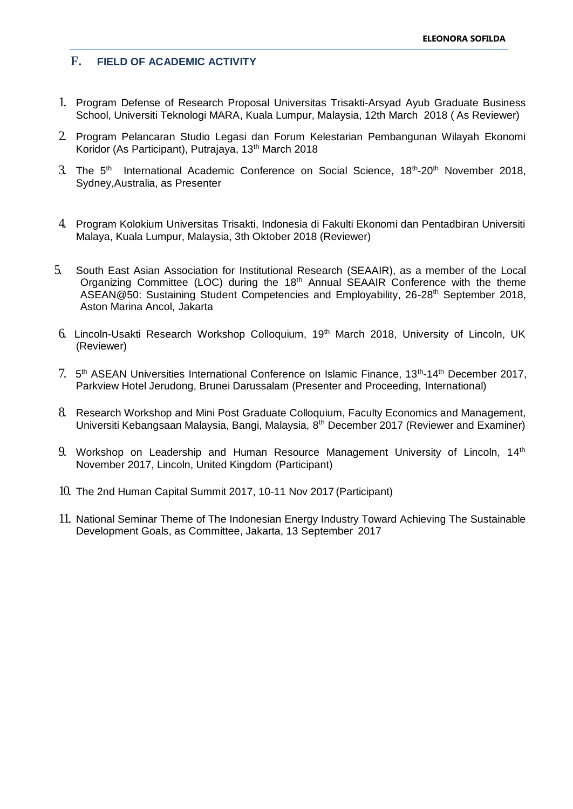## **F. FIELD OF ACADEMIC ACTIVITY**

- 1. Program Defense of Research Proposal Universitas Trisakti-Arsyad Ayub Graduate Business School, Universiti Teknologi MARA, Kuala Lumpur, Malaysia, 12th March 2018 ( As Reviewer)
- 2. Program Pelancaran Studio Legasi dan Forum Kelestarian Pembangunan Wilayah Ekonomi Koridor (As Participant), Putrajaya, 13<sup>th</sup> March 2018
- 3. The 5<sup>th</sup> International Academic Conference on Social Science, 18<sup>th</sup>-20<sup>th</sup> November 2018, Sydney,Australia, as Presenter
- 4. Program Kolokium Universitas Trisakti, Indonesia di Fakulti Ekonomi dan Pentadbiran Universiti Malaya, Kuala Lumpur, Malaysia, 3th Oktober 2018 (Reviewer)
- 5. South East Asian Association for Institutional Research (SEAAIR), as a member of the Local Organizing Committee (LOC) during the 18th Annual SEAAIR Conference with the theme ASEAN@50: Sustaining Student Competencies and Employability, 26-28<sup>th</sup> September 2018, Aston Marina Ancol, Jakarta
- 6. Lincoln-Usakti Research Workshop Colloquium, 19th March 2018, University of Lincoln, UK (Reviewer)
- 7. 5<sup>th</sup> ASEAN Universities International Conference on Islamic Finance, 13<sup>th</sup>-14<sup>th</sup> December 2017, Parkview Hotel Jerudong, Brunei Darussalam (Presenter and Proceeding, International)
- 8. Research Workshop and Mini Post Graduate Colloquium, Faculty Economics and Management, Universiti Kebangsaan Malaysia, Bangi, Malaysia, 8<sup>th</sup> December 2017 (Reviewer and Examiner)
- 9. Workshop on Leadership and Human Resource Management University of Lincoln, 14<sup>th</sup> November 2017, Lincoln, United Kingdom (Participant)
- 10. The 2nd Human Capital Summit 2017, 10-11 Nov 2017 (Participant)
- 11. National Seminar Theme of The Indonesian Energy Industry Toward Achieving The Sustainable Development Goals, as Committee, Jakarta, 13 September 2017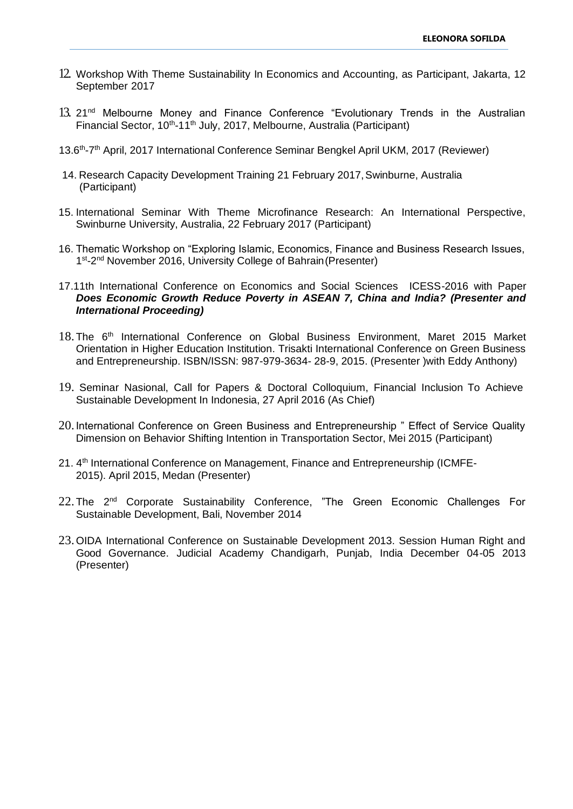- 12. Workshop With Theme Sustainability In Economics and Accounting, as Participant, Jakarta, 12 September 2017
- 13. 21<sup>nd</sup> Melbourne Money and Finance Conference "Evolutionary Trends in the Australian Financial Sector, 10<sup>th</sup>-11<sup>th</sup> July, 2017, Melbourne, Australia (Participant)
- 13.6<sup>th</sup>-7<sup>th</sup> April, 2017 International Conference Seminar Bengkel April UKM, 2017 (Reviewer)
- 14. Research Capacity Development Training 21 February 2017,Swinburne, Australia (Participant)
- 15. International Seminar With Theme Microfinance Research: An International Perspective, Swinburne University, Australia, 22 February 2017 (Participant)
- 16. Thematic Workshop on "Exploring Islamic, Economics, Finance and Business Research Issues, 1<sup>st</sup>-2<sup>nd</sup> November 2016, University College of Bahrain (Presenter)
- 17.11th International Conference on Economics and Social Sciences ICESS-2016 with Paper *Does Economic Growth Reduce Poverty in ASEAN 7, China and India? (Presenter and International Proceeding)*
- 18. The 6<sup>th</sup> International Conference on Global Business Environment, Maret 2015 Market Orientation in Higher Education Institution. Trisakti International Conference on Green Business and Entrepreneurship. ISBN/ISSN: 987-979-3634- 28-9, 2015. (Presenter )with Eddy Anthony)
- 19. Seminar Nasional, Call for Papers & Doctoral Colloquium, Financial Inclusion To Achieve Sustainable Development In Indonesia, 27 April 2016 (As Chief)
- 20. International Conference on Green Business and Entrepreneurship " Effect of Service Quality Dimension on Behavior Shifting Intention in Transportation Sector, Mei 2015 (Participant)
- 21. 4<sup>th</sup> International Conference on Management, Finance and Entrepreneurship (ICMFE-2015). April 2015, Medan (Presenter)
- 22. The 2<sup>nd</sup> Corporate Sustainability Conference, "The Green Economic Challenges For Sustainable Development, Bali, November 2014
- 23.OIDA International Conference on Sustainable Development 2013. Session Human Right and Good Governance. Judicial Academy Chandigarh, Punjab, India December 04-05 2013 (Presenter)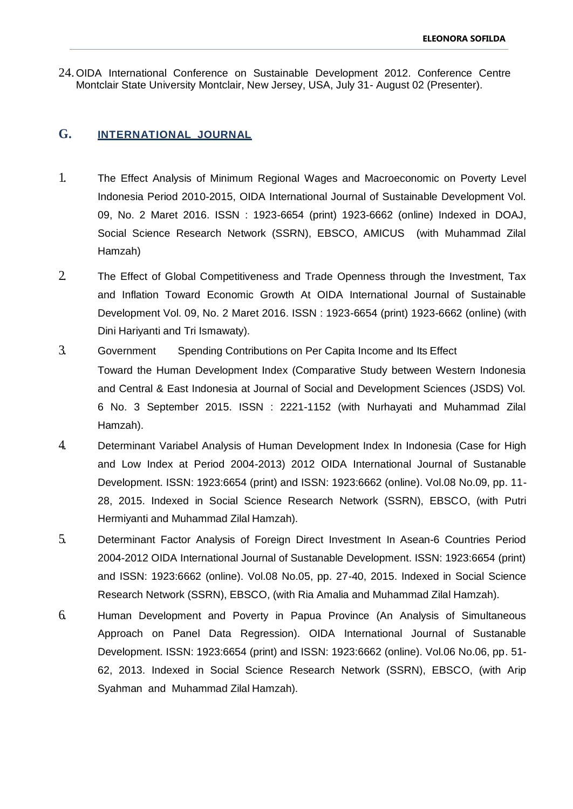24.OIDA International Conference on Sustainable Development 2012. Conference Centre Montclair State University Montclair, New Jersey, USA, July 31- August 02 (Presenter).

# **G. INTERNATIONAL JOURNAL**

- 1. The Effect Analysis of Minimum Regional Wages and Macroeconomic on Poverty Level Indonesia Period 2010-2015, OIDA International Journal of Sustainable Development Vol. 09, No. 2 Maret 2016. ISSN : 1923-6654 (print) 1923-6662 (online) Indexed in DOAJ, Social Science Research Network (SSRN), EBSCO, AMICUS (with Muhammad Zilal Hamzah)
- 2. The Effect of Global Competitiveness and Trade Openness through the Investment, Tax and Inflation Toward Economic Growth At OIDA International Journal of Sustainable Development Vol. 09, No. 2 Maret 2016. ISSN : 1923-6654 (print) 1923-6662 (online) (with Dini Hariyanti and Tri Ismawaty).
- 3. Government Spending Contributions on Per Capita Income and Its Effect Toward the Human Development Index (Comparative Study between Western Indonesia and Central & East Indonesia at Journal of Social and Development Sciences (JSDS) Vol. 6 No. 3 September 2015. ISSN : 2221-1152 (with Nurhayati and Muhammad Zilal Hamzah).
- 4. Determinant Variabel Analysis of Human Development Index In Indonesia (Case for High and Low Index at Period 2004-2013) 2012 OIDA International Journal of Sustanable Development. ISSN: 1923:6654 (print) and ISSN: 1923:6662 (online). Vol.08 No.09, pp. 11- 28, 2015. Indexed in Social Science Research Network (SSRN), EBSCO, (with Putri Hermiyanti and Muhammad Zilal Hamzah).
- 5. Determinant Factor Analysis of Foreign Direct Investment In Asean-6 Countries Period 2004-2012 OIDA International Journal of Sustanable Development. ISSN: 1923:6654 (print) and ISSN: 1923:6662 (online). Vol.08 No.05, pp. 27-40, 2015. Indexed in Social Science Research Network (SSRN), EBSCO, (with Ria Amalia and Muhammad Zilal Hamzah).
- 6. Human Development and Poverty in Papua Province (An Analysis of Simultaneous Approach on Panel Data Regression). OIDA International Journal of Sustanable Development. ISSN: 1923:6654 (print) and ISSN: 1923:6662 (online). Vol.06 No.06, pp. 51- 62, 2013. Indexed in Social Science Research Network (SSRN), EBSCO, (with Arip Syahman and Muhammad Zilal Hamzah).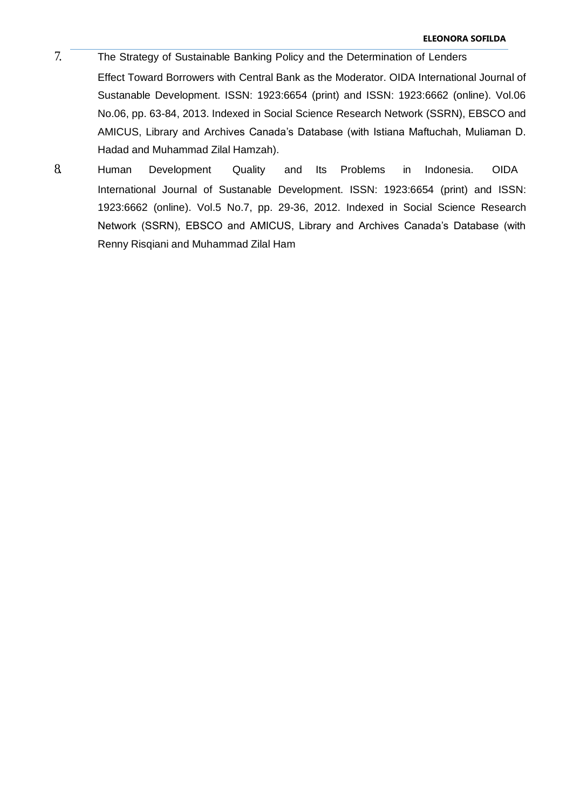- 7. The Strategy of Sustainable Banking Policy and the Determination of Lenders Effect Toward Borrowers with Central Bank as the Moderator. OIDA International Journal of Sustanable Development. ISSN: 1923:6654 (print) and ISSN: 1923:6662 (online). Vol.06 No.06, pp. 63-84, 2013. Indexed in Social Science Research Network (SSRN), EBSCO and AMICUS, Library and Archives Canada's Database (with Istiana Maftuchah, Muliaman D. Hadad and Muhammad Zilal Hamzah).
- 8. Human Development Quality and Its Problems in Indonesia. OIDA International Journal of Sustanable Development. ISSN: 1923:6654 (print) and ISSN: 1923:6662 (online). Vol.5 No.7, pp. 29-36, 2012. Indexed in Social Science Research Network (SSRN), EBSCO and AMICUS, Library and Archives Canada's Database (with Renny Risqiani and Muhammad Zilal Ham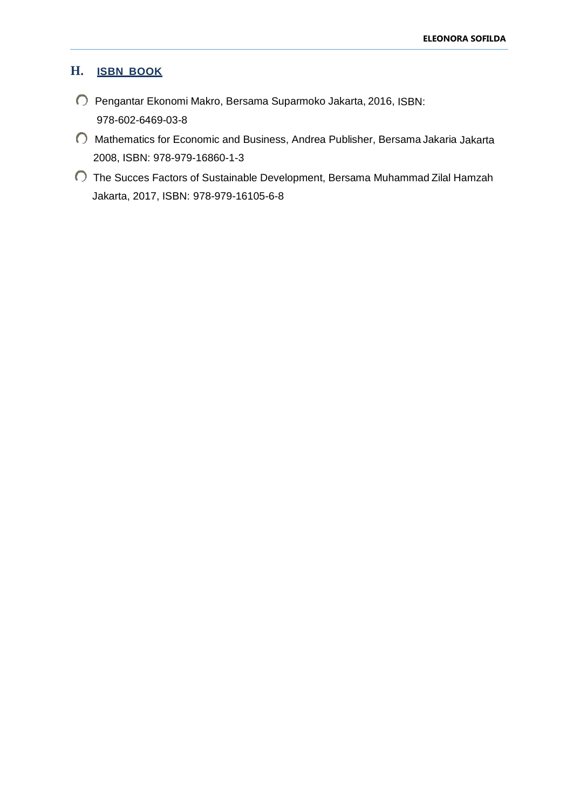# **H. ISBN BOOK**

- Pengantar Ekonomi Makro, Bersama Suparmoko Jakarta, 2016, ISBN: 978-602-6469-03-8
- Mathematics for Economic and Business, Andrea Publisher, Bersama Jakaria Jakarta 2008, ISBN: 978-979-16860-1-3
- The Succes Factors of Sustainable Development, Bersama Muhammad Zilal Hamzah Jakarta, 2017, ISBN: 978-979-16105-6-8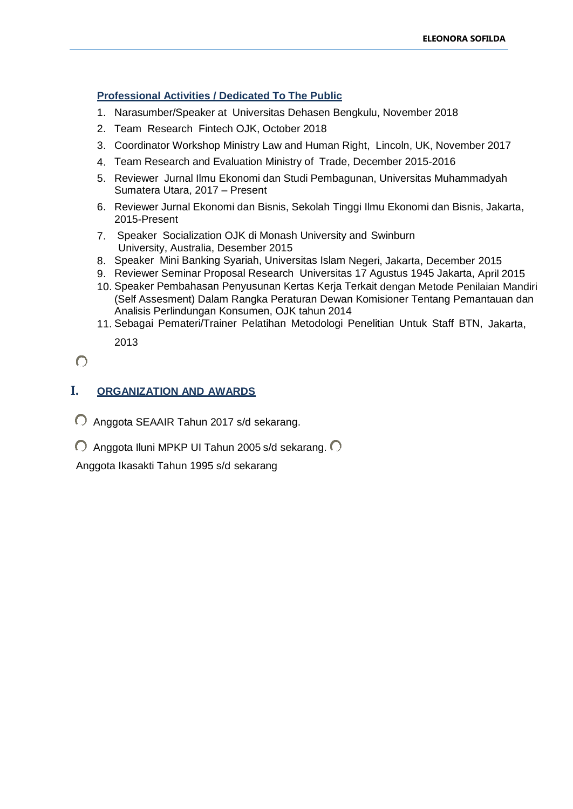## **Professional Activities / Dedicated To The Public**

- 1. Narasumber/Speaker at Universitas Dehasen Bengkulu, November 2018
- 2. Team Research Fintech OJK, October 2018
- 3. Coordinator Workshop Ministry Law and Human Right, Lincoln, UK, November 2017
- 4. Team Research and Evaluation Ministry of Trade, December 2015-2016
- 5. Reviewer Jurnal Ilmu Ekonomi dan Studi Pembagunan, Universitas Muhammadyah Sumatera Utara, 2017 – Present
- 6. Reviewer Jurnal Ekonomi dan Bisnis, Sekolah Tinggi Ilmu Ekonomi dan Bisnis, Jakarta, 2015-Present
- 7. Speaker Socialization OJK di Monash University and Swinburn University, Australia, Desember 2015
- 8. Speaker Mini Banking Syariah, Universitas Islam Negeri, Jakarta, December 2015
- 9. Reviewer Seminar Proposal Research Universitas 17 Agustus 1945 Jakarta, April 2015
- 10. Speaker Pembahasan Penyusunan Kertas Kerja Terkait dengan Metode Penilaian Mandiri (Self Assesment) Dalam Rangka Peraturan Dewan Komisioner Tentang Pemantauan dan Analisis Perlindungan Konsumen, OJK tahun 2014
- 11. Sebagai Pemateri/Trainer Pelatihan Metodologi Penelitian Untuk Staff BTN, Jakarta, 2013

 $\bigcap$ 

# **I. ORGANIZATION AND AWARDS**

- Anggota SEAAIR Tahun 2017 s/d sekarang.
- $\bigcirc$  Anggota Iluni MPKP UI Tahun 2005 s/d sekarang.  $\bigcirc$

Anggota Ikasakti Tahun 1995 s/d sekarang